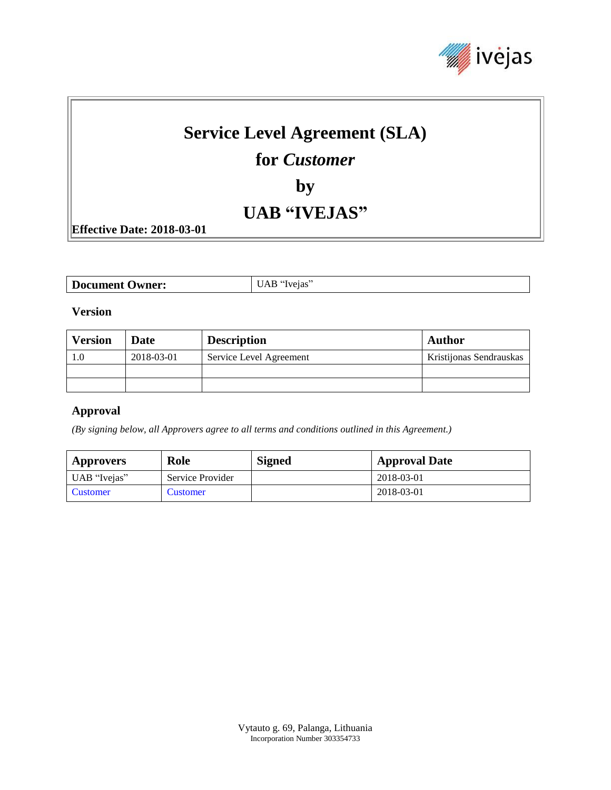

# **Service Level Agreement (SLA)**

# **for** *Customer*

**by**

# **UAB "IVEJAS"**

**Effective Date: 2018-03-01**

| <b>Document Owner:</b> | $\overline{\phantom{a}}$ UAB "Ivejas" |
|------------------------|---------------------------------------|
|------------------------|---------------------------------------|

#### **Version**

| <b>Version</b> | Date       | <b>Description</b>      | <b>Author</b>           |
|----------------|------------|-------------------------|-------------------------|
|                | 2018-03-01 | Service Level Agreement | Kristijonas Sendrauskas |
|                |            |                         |                         |
|                |            |                         |                         |

#### **Approval**

*(By signing below, all Approvers agree to all terms and conditions outlined in this Agreement.)*

| <b>Approvers</b> | Role             | <b>Signed</b> | <b>Approval Date</b> |
|------------------|------------------|---------------|----------------------|
| UAB "Ivejas"     | Service Provider |               | 2018-03-01           |
| Customer         | <b>Customer</b>  |               | 2018-03-01           |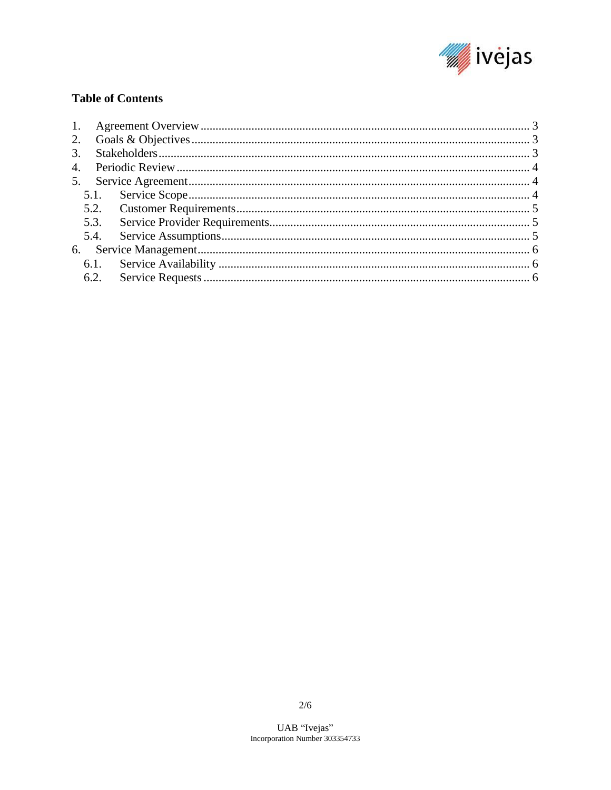

### **Table of Contents**

| 5.3.<br>5.4. |  |
|--------------|--|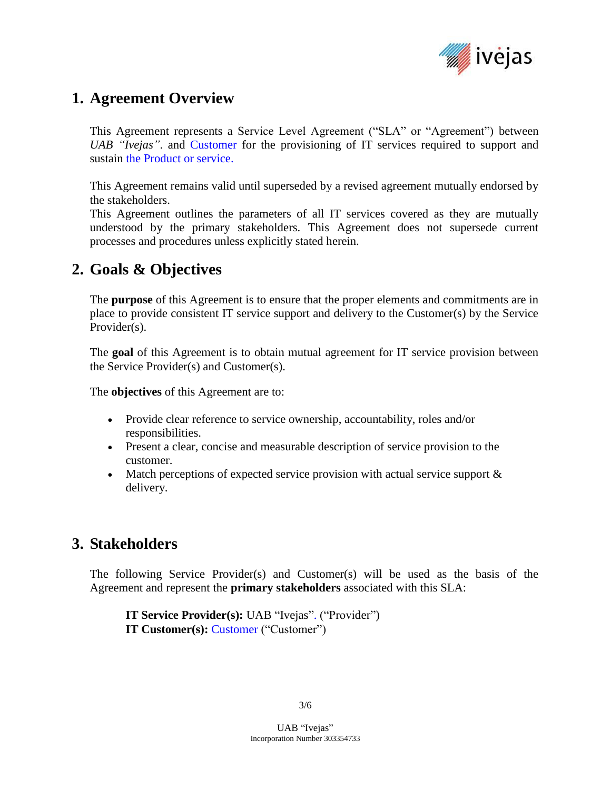

# <span id="page-2-0"></span>**1. Agreement Overview**

This Agreement represents a Service Level Agreement ("SLA" or "Agreement") between *UAB "Ivejas"*. and Customer for the provisioning of IT services required to support and sustain the Product or service.

This Agreement remains valid until superseded by a revised agreement mutually endorsed by the stakeholders.

This Agreement outlines the parameters of all IT services covered as they are mutually understood by the primary stakeholders. This Agreement does not supersede current processes and procedures unless explicitly stated herein.

# <span id="page-2-1"></span>**2. Goals & Objectives**

The **purpose** of this Agreement is to ensure that the proper elements and commitments are in place to provide consistent IT service support and delivery to the Customer(s) by the Service Provider(s).

The **goal** of this Agreement is to obtain mutual agreement for IT service provision between the Service Provider(s) and Customer(s).

The **objectives** of this Agreement are to:

- Provide clear reference to service ownership, accountability, roles and/or responsibilities.
- Present a clear, concise and measurable description of service provision to the customer.
- Match perceptions of expected service provision with actual service support  $\&$ delivery.

### <span id="page-2-2"></span>**3. Stakeholders**

The following Service Provider(s) and Customer(s) will be used as the basis of the Agreement and represent the **primary stakeholders** associated with this SLA:

**IT Service Provider(s):** UAB "Ivejas". ("Provider") **IT Customer(s):** Customer ("Customer")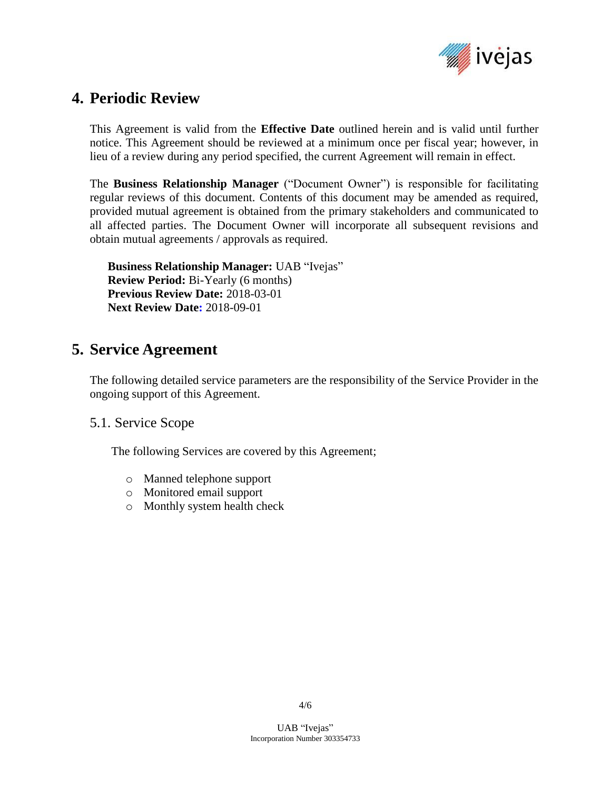

# <span id="page-3-0"></span>**4. Periodic Review**

This Agreement is valid from the **Effective Date** outlined herein and is valid until further notice. This Agreement should be reviewed at a minimum once per fiscal year; however, in lieu of a review during any period specified, the current Agreement will remain in effect.

The **Business Relationship Manager** ("Document Owner") is responsible for facilitating regular reviews of this document. Contents of this document may be amended as required, provided mutual agreement is obtained from the primary stakeholders and communicated to all affected parties. The Document Owner will incorporate all subsequent revisions and obtain mutual agreements / approvals as required.

**Business Relationship Manager:** UAB "Ivejas" **Review Period:** Bi-Yearly (6 months) **Previous Review Date:** 2018-03-01 **Next Review Date:** 2018-09-01

# <span id="page-3-1"></span>**5. Service Agreement**

The following detailed service parameters are the responsibility of the Service Provider in the ongoing support of this Agreement.

#### <span id="page-3-2"></span>5.1. Service Scope

The following Services are covered by this Agreement;

- o Manned telephone support
- o Monitored email support
- o Monthly system health check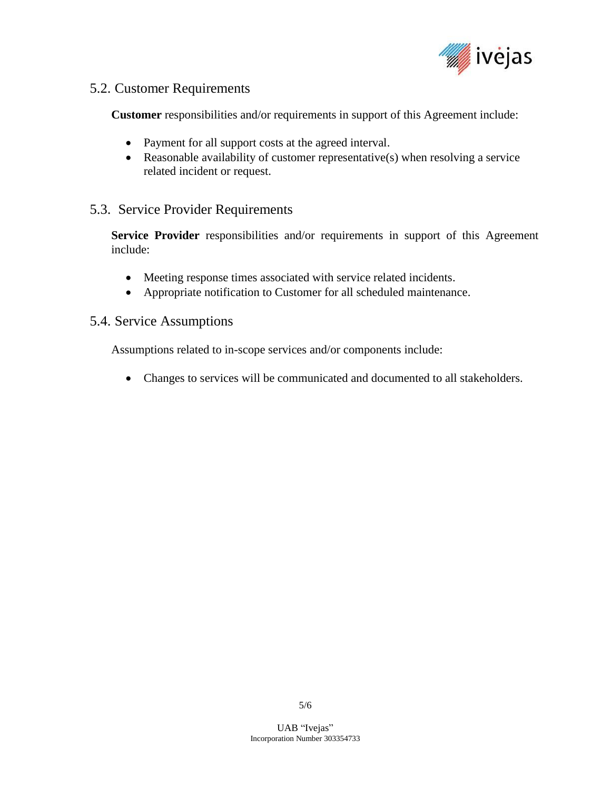

### <span id="page-4-0"></span>5.2. Customer Requirements

**Customer** responsibilities and/or requirements in support of this Agreement include:

- Payment for all support costs at the agreed interval.
- Reasonable availability of customer representative(s) when resolving a service related incident or request.

### <span id="page-4-1"></span>5.3. Service Provider Requirements

**Service Provider** responsibilities and/or requirements in support of this Agreement include:

- Meeting response times associated with service related incidents.
- Appropriate notification to Customer for all scheduled maintenance.

#### <span id="page-4-2"></span>5.4. Service Assumptions

Assumptions related to in-scope services and/or components include:

<span id="page-4-3"></span>• Changes to services will be communicated and documented to all stakeholders.